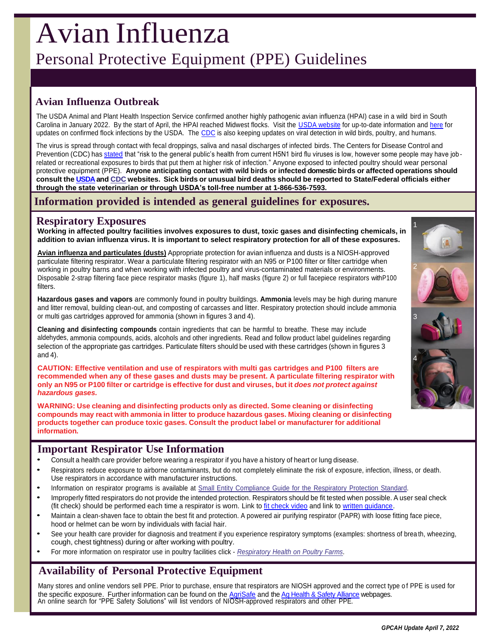# Avian Influenza Personal Protective Equipment (PPE) Guidelines

### **Avian Influenza Outbreak**

The USDA Animal and Plant Health Inspection Service confirmed another highly pathogenic avian influenza (HPAI) case in a wild bird in South Carolina in January 2022. By the start of April, the HPAI reached Midwest flocks. Visit the [USDA website](https://www.aphis.usda.gov/aphis/ourfocus/animalhealth/animal-disease-information/avian/avian-influenza/defend-the-flock-hpai) for up-to-date information and [here](https://www.aphis.usda.gov/aphis/ourfocus/animalhealth/animal-disease-information/avian/avian-influenza/2022-hpai) for updates on confirmed flock infections by the USDA. The [CDC](https://www.cdc.gov/flu/avianflu/avian-flu-summary.htm) is also keeping updates on viral detection in wild birds, poultry, and humans.

The virus is spread through contact with fecal droppings, saliva and nasal discharges of infected birds. The Centers for Disease Control and Prevention (CDC) has [stated](https://www.cdc.gov/flu/avianflu/spotlights/2021-2022/h5n1-low-risk-public.htm) that "risk to the general public's health from current H5N1 bird flu viruses is low, however some people may have job related or recreational exposures to birds that put them at higher risk of infection." Anyone exposed to infected poultry should wear personal protective equipment (PPE). **Anyone anticipating contact with wild birds or infected domestic birds or affected operations should consult the [USDAa](https://www.aphis.usda.gov/aphis/ourfocus/animalhealth/animal-disease-information/avian/avian-influenza/defend-the-flock-hpai)nd [CDC](http://www.cdc.gov/flu/avianflu/index.htm) websites. Sick birds or unusual bird deaths should be reported to State/Federal officials either through the state veterinarian or through USDA's toll-free number at 1-866-536-7593.**

#### **Information provided is intended as general guidelines for exposures.**

#### **Respiratory Exposures**

**Working in affected poultry facilities involves exposures to dust, toxic gases and disinfecting chemicals, in addition to avian influenza virus. It is important to select respiratory protection for all of these exposures.**

**Avian influenza and particulates (dusts)** Appropriate protection for avian influenza and dusts is a NIOSH-approved particulate filtering respirator. Wear a particulate filtering respirator with an N95 or P100 filter or filter cartridge when working in poultry barns and when working with infected poultry and virus-contaminated materials or environments. Disposable 2-strap filtering face piece respirator masks (figure 1), half masks (figure 2) or full facepiece respirators withP100 filters.

**Hazardous gases and vapors** are commonly found in poultry buildings. **Ammonia** levels may be high during manure and litter removal, building clean-out, and composting of carcasses and litter. Respiratory protection should include ammonia or multi gas cartridges approved for ammonia (shown in figures 3 and 4).

**Cleaning and disinfecting compounds** contain ingredients that can be harmful to breathe. These may include aldehydes, ammonia compounds, acids, alcohols and other ingredients. Read and follow product label guidelines regarding selection of the appropriate gas cartridges. Particulate filters should be used with these cartridges (shown in figures 3 and 4).

**CAUTION: Effective ventilation and use of respirators with multi gas cartridges and P100 filters are recommended when any of these gases and dusts may be present. A particulate filtering respirator with**  only an N95 or P100 filter or cartridge is effective for dust and viruses, but it does not protect against *hazardous gases.*

**WARNING: Use cleaning and disinfecting products only as directed. Some cleaning or disinfecting compounds may react with ammonia in litter to produce hazardous gases. Mixing cleaning or disinfecting products together can produce toxic gases. Consult the product label or manufacturer for additional information.**

### **Important Respirator Use Information**

- Consult <sup>a</sup> health care provider before wearing <sup>a</sup> respirator if you have <sup>a</sup> history of heart or lung disease.
- Respirators reduce exposure to airborne contaminants, but do not completely eliminate the risk of exposure, infection, illness, or death. Use respirators in accordance with manufacturer instructions.
- Information on respirator programs is available at Small Entity [Compliance](https://www.osha.gov/Publications/3384small-entity-for-respiratory-protection-standard-rev.pdf) Guide for the Respiratory Protection Standard.
- Improperly fitted respirators do not provide the intended protection. Respirators should be fit tested when possible. A user seal check (fit check) should be performed each time a respirator is worn. Link to [fit check video](https://youtu.be/U8Inww-1avg) and link to [written guidance.](https://www.3m.com/3M/en_US/respiratory-protection-us/support/center-for-respiratory-protection/fit-testing/)
- Maintain a clean-shaven face to obtain the best fit and protection. A powered air purifying respirator (PAPR) with loose fitting face piece, hood or helmet can be worn by individuals with facial hair.
- See your health care provider for diagnosis and treatment if you experience respiratory symptoms (examples: shortness of brea th, wheezing, cough, chest tightness) during or after working with poultry.
- For more information on respirator use in poultry facilities click *[Respiratory](http://nasdonline.org/document/197/d000146/respiratory-health-on-the-poultry-farm.html) Health on Poultry Farms*.

### **Availability of Personal Protective Equipment**

Many stores and online vendors sell PPE. Prior to purchase, ensure that respirators are NIOSH approved and the correct type of PPE is used for the specific exposure. Further information can be found on the [AgriSafe](https://www.agrisafe.org/healthcare/respiratory-health/) and th[e Ag Health & Safety Alliance](https://aghealthandsafety.com/respiratory/) webpages. An online search for "PPE Safety Solutions" will list vendors of NIOSH-approved respirators and other PPE.